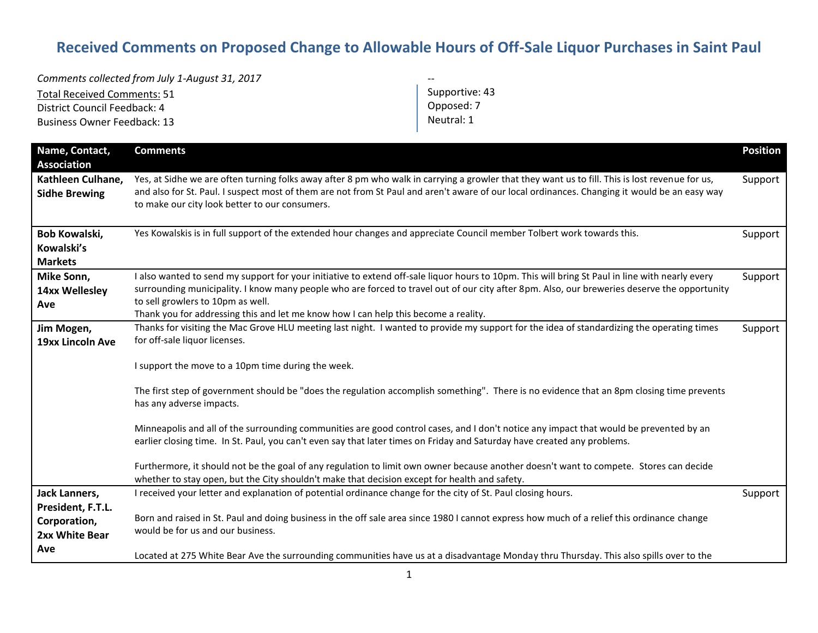## **Received Comments on Proposed Change to Allowable Hours of Off-Sale Liquor Purchases in Saint Paul**

*Comments collected from July 1-August 31, 2017* Total Received Comments: 51 District Council Feedback: 4 Business Owner Feedback: 13 -- Supportive: 43 Opposed: 7 Neutral: 1

| Name, Contact,<br><b>Association</b>                | <b>Comments</b>                                                                                                                                                                                                                                                                                                                                                                                                             | <b>Position</b> |
|-----------------------------------------------------|-----------------------------------------------------------------------------------------------------------------------------------------------------------------------------------------------------------------------------------------------------------------------------------------------------------------------------------------------------------------------------------------------------------------------------|-----------------|
| Kathleen Culhane,<br><b>Sidhe Brewing</b>           | Yes, at Sidhe we are often turning folks away after 8 pm who walk in carrying a growler that they want us to fill. This is lost revenue for us,<br>and also for St. Paul. I suspect most of them are not from St Paul and aren't aware of our local ordinances. Changing it would be an easy way<br>to make our city look better to our consumers.                                                                          | Support         |
| Bob Kowalski,<br>Kowalski's<br><b>Markets</b>       | Yes Kowalskis is in full support of the extended hour changes and appreciate Council member Tolbert work towards this.                                                                                                                                                                                                                                                                                                      | Support         |
| Mike Sonn,<br>14xx Wellesley<br>Ave                 | I also wanted to send my support for your initiative to extend off-sale liquor hours to 10pm. This will bring St Paul in line with nearly every<br>surrounding municipality. I know many people who are forced to travel out of our city after 8pm. Also, our breweries deserve the opportunity<br>to sell growlers to 10pm as well.<br>Thank you for addressing this and let me know how I can help this become a reality. | Support         |
| Jim Mogen,<br>19xx Lincoln Ave                      | Thanks for visiting the Mac Grove HLU meeting last night. I wanted to provide my support for the idea of standardizing the operating times<br>for off-sale liquor licenses.<br>I support the move to a 10pm time during the week.                                                                                                                                                                                           | Support         |
|                                                     | The first step of government should be "does the regulation accomplish something". There is no evidence that an 8pm closing time prevents<br>has any adverse impacts.                                                                                                                                                                                                                                                       |                 |
|                                                     | Minneapolis and all of the surrounding communities are good control cases, and I don't notice any impact that would be prevented by an<br>earlier closing time. In St. Paul, you can't even say that later times on Friday and Saturday have created any problems.                                                                                                                                                          |                 |
|                                                     | Furthermore, it should not be the goal of any regulation to limit own owner because another doesn't want to compete. Stores can decide<br>whether to stay open, but the City shouldn't make that decision except for health and safety.                                                                                                                                                                                     |                 |
| Jack Lanners,                                       | I received your letter and explanation of potential ordinance change for the city of St. Paul closing hours.                                                                                                                                                                                                                                                                                                                | Support         |
| President, F.T.L.<br>Corporation,<br>2xx White Bear | Born and raised in St. Paul and doing business in the off sale area since 1980 I cannot express how much of a relief this ordinance change<br>would be for us and our business.                                                                                                                                                                                                                                             |                 |
| Ave                                                 | Located at 275 White Bear Ave the surrounding communities have us at a disadvantage Monday thru Thursday. This also spills over to the                                                                                                                                                                                                                                                                                      |                 |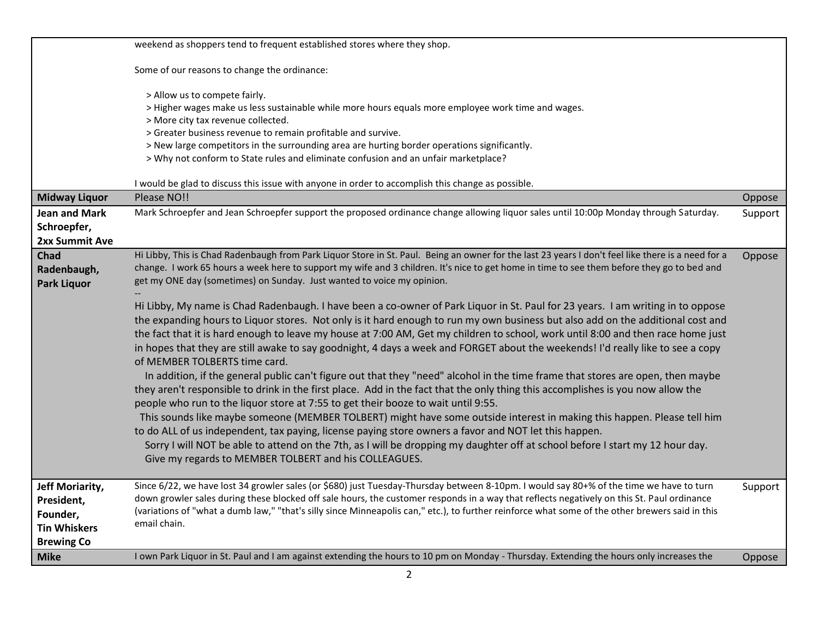|                      | weekend as shoppers tend to frequent established stores where they shop.                                                                                                                                                                                                                      |         |
|----------------------|-----------------------------------------------------------------------------------------------------------------------------------------------------------------------------------------------------------------------------------------------------------------------------------------------|---------|
|                      | Some of our reasons to change the ordinance:                                                                                                                                                                                                                                                  |         |
|                      | > Allow us to compete fairly.                                                                                                                                                                                                                                                                 |         |
|                      | > Higher wages make us less sustainable while more hours equals more employee work time and wages.                                                                                                                                                                                            |         |
|                      | > More city tax revenue collected.                                                                                                                                                                                                                                                            |         |
|                      | > Greater business revenue to remain profitable and survive.<br>> New large competitors in the surrounding area are hurting border operations significantly.                                                                                                                                  |         |
|                      | > Why not conform to State rules and eliminate confusion and an unfair marketplace?                                                                                                                                                                                                           |         |
|                      |                                                                                                                                                                                                                                                                                               |         |
|                      | I would be glad to discuss this issue with anyone in order to accomplish this change as possible.                                                                                                                                                                                             |         |
| <b>Midway Liquor</b> | Please NO!!                                                                                                                                                                                                                                                                                   | Oppose  |
| Jean and Mark        | Mark Schroepfer and Jean Schroepfer support the proposed ordinance change allowing liquor sales until 10:00p Monday through Saturday.                                                                                                                                                         | Support |
| Schroepfer,          |                                                                                                                                                                                                                                                                                               |         |
| 2xx Summit Ave       |                                                                                                                                                                                                                                                                                               |         |
| Chad                 | Hi Libby, This is Chad Radenbaugh from Park Liquor Store in St. Paul. Being an owner for the last 23 years I don't feel like there is a need for a                                                                                                                                            | Oppose  |
| Radenbaugh,          | change. I work 65 hours a week here to support my wife and 3 children. It's nice to get home in time to see them before they go to bed and                                                                                                                                                    |         |
| <b>Park Liquor</b>   | get my ONE day (sometimes) on Sunday. Just wanted to voice my opinion.                                                                                                                                                                                                                        |         |
|                      | Hi Libby, My name is Chad Radenbaugh. I have been a co-owner of Park Liquor in St. Paul for 23 years. I am writing in to oppose                                                                                                                                                               |         |
|                      | the expanding hours to Liquor stores. Not only is it hard enough to run my own business but also add on the additional cost and                                                                                                                                                               |         |
|                      | the fact that it is hard enough to leave my house at 7:00 AM, Get my children to school, work until 8:00 and then race home just                                                                                                                                                              |         |
|                      | in hopes that they are still awake to say goodnight, 4 days a week and FORGET about the weekends! I'd really like to see a copy                                                                                                                                                               |         |
|                      | of MEMBER TOLBERTS time card.                                                                                                                                                                                                                                                                 |         |
|                      | In addition, if the general public can't figure out that they "need" alcohol in the time frame that stores are open, then maybe                                                                                                                                                               |         |
|                      | they aren't responsible to drink in the first place. Add in the fact that the only thing this accomplishes is you now allow the                                                                                                                                                               |         |
|                      | people who run to the liquor store at 7:55 to get their booze to wait until 9:55.                                                                                                                                                                                                             |         |
|                      | This sounds like maybe someone (MEMBER TOLBERT) might have some outside interest in making this happen. Please tell him                                                                                                                                                                       |         |
|                      | to do ALL of us independent, tax paying, license paying store owners a favor and NOT let this happen.                                                                                                                                                                                         |         |
|                      | Sorry I will NOT be able to attend on the 7th, as I will be dropping my daughter off at school before I start my 12 hour day.                                                                                                                                                                 |         |
|                      | Give my regards to MEMBER TOLBERT and his COLLEAGUES.                                                                                                                                                                                                                                         |         |
|                      |                                                                                                                                                                                                                                                                                               |         |
| Jeff Moriarity,      | Since 6/22, we have lost 34 growler sales (or \$680) just Tuesday-Thursday between 8-10pm. I would say 80+% of the time we have to turn                                                                                                                                                       | Support |
| President,           | down growler sales during these blocked off sale hours, the customer responds in a way that reflects negatively on this St. Paul ordinance<br>(variations of "what a dumb law," "that's silly since Minneapolis can," etc.), to further reinforce what some of the other brewers said in this |         |
| Founder,             | email chain.                                                                                                                                                                                                                                                                                  |         |
| <b>Tin Whiskers</b>  |                                                                                                                                                                                                                                                                                               |         |
| <b>Brewing Co</b>    |                                                                                                                                                                                                                                                                                               |         |
| <b>Mike</b>          | I own Park Liquor in St. Paul and I am against extending the hours to 10 pm on Monday - Thursday. Extending the hours only increases the                                                                                                                                                      | Oppose  |
|                      | $\overline{2}$                                                                                                                                                                                                                                                                                |         |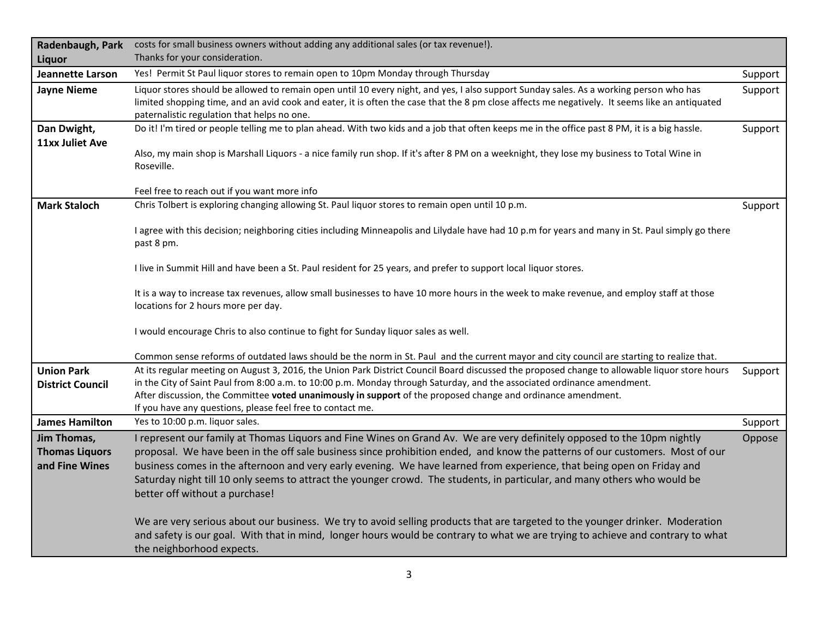| Radenbaugh, Park                                       | costs for small business owners without adding any additional sales (or tax revenue!).                                                                                                                                                                                                                                                                                                                                                                                                                                                           |         |
|--------------------------------------------------------|--------------------------------------------------------------------------------------------------------------------------------------------------------------------------------------------------------------------------------------------------------------------------------------------------------------------------------------------------------------------------------------------------------------------------------------------------------------------------------------------------------------------------------------------------|---------|
| Liquor                                                 | Thanks for your consideration.                                                                                                                                                                                                                                                                                                                                                                                                                                                                                                                   |         |
| <b>Jeannette Larson</b>                                | Yes! Permit St Paul liquor stores to remain open to 10pm Monday through Thursday                                                                                                                                                                                                                                                                                                                                                                                                                                                                 | Support |
| <b>Jayne Nieme</b>                                     | Liquor stores should be allowed to remain open until 10 every night, and yes, I also support Sunday sales. As a working person who has<br>limited shopping time, and an avid cook and eater, it is often the case that the 8 pm close affects me negatively. It seems like an antiquated<br>paternalistic regulation that helps no one.                                                                                                                                                                                                          | Support |
| Dan Dwight,<br>11xx Juliet Ave                         | Do it! I'm tired or people telling me to plan ahead. With two kids and a job that often keeps me in the office past 8 PM, it is a big hassle.                                                                                                                                                                                                                                                                                                                                                                                                    | Support |
|                                                        | Also, my main shop is Marshall Liquors - a nice family run shop. If it's after 8 PM on a weeknight, they lose my business to Total Wine in<br>Roseville.                                                                                                                                                                                                                                                                                                                                                                                         |         |
|                                                        | Feel free to reach out if you want more info                                                                                                                                                                                                                                                                                                                                                                                                                                                                                                     |         |
| <b>Mark Staloch</b>                                    | Chris Tolbert is exploring changing allowing St. Paul liquor stores to remain open until 10 p.m.                                                                                                                                                                                                                                                                                                                                                                                                                                                 | Support |
|                                                        | I agree with this decision; neighboring cities including Minneapolis and Lilydale have had 10 p.m for years and many in St. Paul simply go there<br>past 8 pm.                                                                                                                                                                                                                                                                                                                                                                                   |         |
|                                                        | I live in Summit Hill and have been a St. Paul resident for 25 years, and prefer to support local liquor stores.                                                                                                                                                                                                                                                                                                                                                                                                                                 |         |
|                                                        | It is a way to increase tax revenues, allow small businesses to have 10 more hours in the week to make revenue, and employ staff at those<br>locations for 2 hours more per day.                                                                                                                                                                                                                                                                                                                                                                 |         |
|                                                        | I would encourage Chris to also continue to fight for Sunday liquor sales as well.                                                                                                                                                                                                                                                                                                                                                                                                                                                               |         |
|                                                        | Common sense reforms of outdated laws should be the norm in St. Paul and the current mayor and city council are starting to realize that.                                                                                                                                                                                                                                                                                                                                                                                                        |         |
| <b>Union Park</b><br><b>District Council</b>           | At its regular meeting on August 3, 2016, the Union Park District Council Board discussed the proposed change to allowable liquor store hours<br>in the City of Saint Paul from 8:00 a.m. to 10:00 p.m. Monday through Saturday, and the associated ordinance amendment.<br>After discussion, the Committee voted unanimously in support of the proposed change and ordinance amendment.<br>If you have any questions, please feel free to contact me.                                                                                           | Support |
| <b>James Hamilton</b>                                  | Yes to 10:00 p.m. liquor sales.                                                                                                                                                                                                                                                                                                                                                                                                                                                                                                                  | Support |
| Jim Thomas,<br><b>Thomas Liquors</b><br>and Fine Wines | I represent our family at Thomas Liquors and Fine Wines on Grand Av. We are very definitely opposed to the 10pm nightly<br>proposal. We have been in the off sale business since prohibition ended, and know the patterns of our customers. Most of our<br>business comes in the afternoon and very early evening. We have learned from experience, that being open on Friday and<br>Saturday night till 10 only seems to attract the younger crowd. The students, in particular, and many others who would be<br>better off without a purchase! | Oppose  |
|                                                        | We are very serious about our business. We try to avoid selling products that are targeted to the younger drinker. Moderation<br>and safety is our goal. With that in mind, longer hours would be contrary to what we are trying to achieve and contrary to what<br>the neighborhood expects.                                                                                                                                                                                                                                                    |         |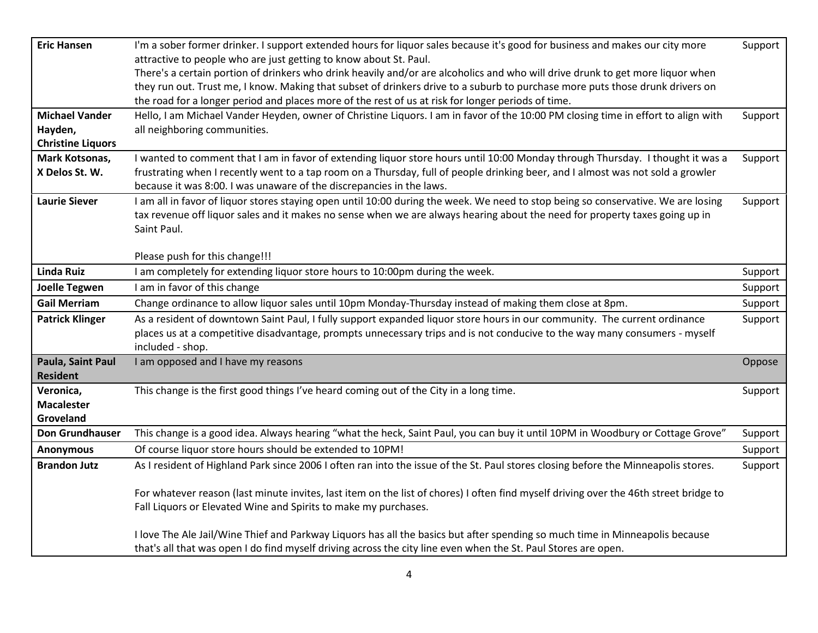| <b>Eric Hansen</b>       | I'm a sober former drinker. I support extended hours for liquor sales because it's good for business and makes our city more                                                                            | Support |
|--------------------------|---------------------------------------------------------------------------------------------------------------------------------------------------------------------------------------------------------|---------|
|                          | attractive to people who are just getting to know about St. Paul.                                                                                                                                       |         |
|                          | There's a certain portion of drinkers who drink heavily and/or are alcoholics and who will drive drunk to get more liquor when                                                                          |         |
|                          | they run out. Trust me, I know. Making that subset of drinkers drive to a suburb to purchase more puts those drunk drivers on                                                                           |         |
|                          | the road for a longer period and places more of the rest of us at risk for longer periods of time.                                                                                                      |         |
| <b>Michael Vander</b>    | Hello, I am Michael Vander Heyden, owner of Christine Liquors. I am in favor of the 10:00 PM closing time in effort to align with                                                                       | Support |
| Hayden,                  | all neighboring communities.                                                                                                                                                                            |         |
| <b>Christine Liquors</b> |                                                                                                                                                                                                         |         |
| Mark Kotsonas,           | I wanted to comment that I am in favor of extending liquor store hours until 10:00 Monday through Thursday. I thought it was a                                                                          | Support |
| X Delos St. W.           | frustrating when I recently went to a tap room on a Thursday, full of people drinking beer, and I almost was not sold a growler<br>because it was 8:00. I was unaware of the discrepancies in the laws. |         |
| <b>Laurie Siever</b>     | I am all in favor of liquor stores staying open until 10:00 during the week. We need to stop being so conservative. We are losing                                                                       | Support |
|                          | tax revenue off liquor sales and it makes no sense when we are always hearing about the need for property taxes going up in                                                                             |         |
|                          | Saint Paul.                                                                                                                                                                                             |         |
|                          |                                                                                                                                                                                                         |         |
|                          | Please push for this change!!!                                                                                                                                                                          |         |
| <b>Linda Ruiz</b>        | I am completely for extending liquor store hours to 10:00pm during the week.                                                                                                                            | Support |
| <b>Joelle Tegwen</b>     | I am in favor of this change                                                                                                                                                                            | Support |
| <b>Gail Merriam</b>      | Change ordinance to allow liquor sales until 10pm Monday-Thursday instead of making them close at 8pm.                                                                                                  | Support |
| <b>Patrick Klinger</b>   | As a resident of downtown Saint Paul, I fully support expanded liquor store hours in our community. The current ordinance                                                                               | Support |
|                          | places us at a competitive disadvantage, prompts unnecessary trips and is not conducive to the way many consumers - myself                                                                              |         |
|                          | included - shop.                                                                                                                                                                                        |         |
| Paula, Saint Paul        | I am opposed and I have my reasons                                                                                                                                                                      | Oppose  |
| <b>Resident</b>          |                                                                                                                                                                                                         |         |
| Veronica,                | This change is the first good things I've heard coming out of the City in a long time.                                                                                                                  | Support |
| <b>Macalester</b>        |                                                                                                                                                                                                         |         |
| Groveland                |                                                                                                                                                                                                         |         |
| <b>Don Grundhauser</b>   | This change is a good idea. Always hearing "what the heck, Saint Paul, you can buy it until 10PM in Woodbury or Cottage Grove"                                                                          | Support |
| <b>Anonymous</b>         | Of course liquor store hours should be extended to 10PM!                                                                                                                                                | Support |
| <b>Brandon Jutz</b>      | As I resident of Highland Park since 2006 I often ran into the issue of the St. Paul stores closing before the Minneapolis stores.                                                                      | Support |
|                          | For whatever reason (last minute invites, last item on the list of chores) I often find myself driving over the 46th street bridge to                                                                   |         |
|                          | Fall Liquors or Elevated Wine and Spirits to make my purchases.                                                                                                                                         |         |
|                          | I love The Ale Jail/Wine Thief and Parkway Liquors has all the basics but after spending so much time in Minneapolis because                                                                            |         |
|                          | that's all that was open I do find myself driving across the city line even when the St. Paul Stores are open.                                                                                          |         |
|                          |                                                                                                                                                                                                         |         |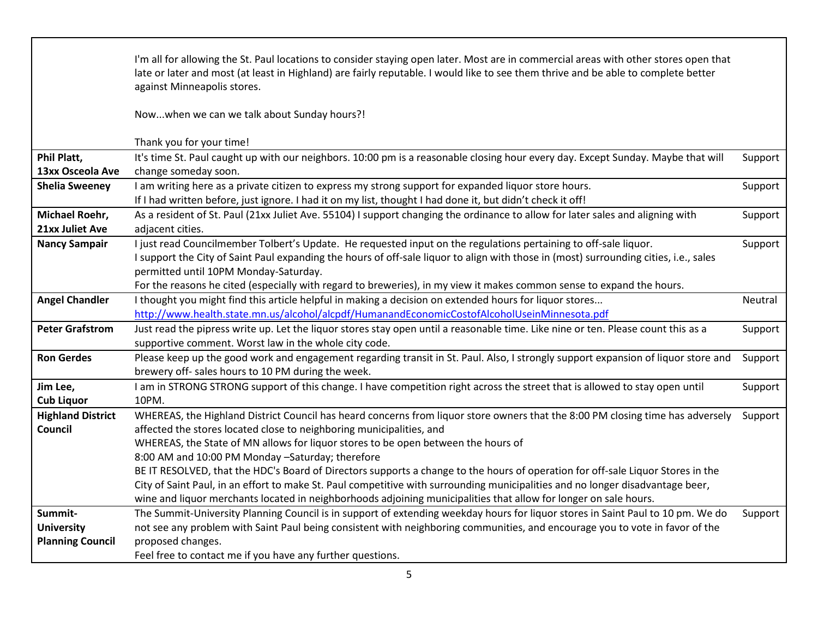|                          | I'm all for allowing the St. Paul locations to consider staying open later. Most are in commercial areas with other stores open that<br>late or later and most (at least in Highland) are fairly reputable. I would like to see them thrive and be able to complete better<br>against Minneapolis stores. |         |
|--------------------------|-----------------------------------------------------------------------------------------------------------------------------------------------------------------------------------------------------------------------------------------------------------------------------------------------------------|---------|
|                          | Nowwhen we can we talk about Sunday hours?!                                                                                                                                                                                                                                                               |         |
|                          | Thank you for your time!                                                                                                                                                                                                                                                                                  |         |
| Phil Platt,              | It's time St. Paul caught up with our neighbors. 10:00 pm is a reasonable closing hour every day. Except Sunday. Maybe that will                                                                                                                                                                          | Support |
| 13xx Osceola Ave         | change someday soon.                                                                                                                                                                                                                                                                                      |         |
| <b>Shelia Sweeney</b>    | I am writing here as a private citizen to express my strong support for expanded liquor store hours.<br>If I had written before, just ignore. I had it on my list, thought I had done it, but didn't check it off!                                                                                        | Support |
| Michael Roehr,           | As a resident of St. Paul (21xx Juliet Ave. 55104) I support changing the ordinance to allow for later sales and aligning with                                                                                                                                                                            | Support |
| 21xx Juliet Ave          | adjacent cities.                                                                                                                                                                                                                                                                                          |         |
| <b>Nancy Sampair</b>     | I just read Councilmember Tolbert's Update. He requested input on the regulations pertaining to off-sale liquor.                                                                                                                                                                                          | Support |
|                          | I support the City of Saint Paul expanding the hours of off-sale liquor to align with those in (most) surrounding cities, i.e., sales                                                                                                                                                                     |         |
|                          | permitted until 10PM Monday-Saturday.                                                                                                                                                                                                                                                                     |         |
|                          | For the reasons he cited (especially with regard to breweries), in my view it makes common sense to expand the hours.                                                                                                                                                                                     |         |
| <b>Angel Chandler</b>    | I thought you might find this article helpful in making a decision on extended hours for liquor stores                                                                                                                                                                                                    | Neutral |
|                          | http://www.health.state.mn.us/alcohol/alcpdf/HumanandEconomicCostofAlcoholUseinMinnesota.pdf                                                                                                                                                                                                              |         |
| <b>Peter Grafstrom</b>   | Just read the pipress write up. Let the liquor stores stay open until a reasonable time. Like nine or ten. Please count this as a                                                                                                                                                                         | Support |
|                          | supportive comment. Worst law in the whole city code.                                                                                                                                                                                                                                                     |         |
| <b>Ron Gerdes</b>        | Please keep up the good work and engagement regarding transit in St. Paul. Also, I strongly support expansion of liquor store and<br>brewery off- sales hours to 10 PM during the week.                                                                                                                   | Support |
| Jim Lee,                 | I am in STRONG STRONG support of this change. I have competition right across the street that is allowed to stay open until                                                                                                                                                                               | Support |
| <b>Cub Liquor</b>        | 10PM.                                                                                                                                                                                                                                                                                                     |         |
| <b>Highland District</b> | WHEREAS, the Highland District Council has heard concerns from liquor store owners that the 8:00 PM closing time has adversely                                                                                                                                                                            | Support |
| Council                  | affected the stores located close to neighboring municipalities, and                                                                                                                                                                                                                                      |         |
|                          | WHEREAS, the State of MN allows for liquor stores to be open between the hours of                                                                                                                                                                                                                         |         |
|                          | 8:00 AM and 10:00 PM Monday -Saturday; therefore                                                                                                                                                                                                                                                          |         |
|                          | BE IT RESOLVED, that the HDC's Board of Directors supports a change to the hours of operation for off-sale Liquor Stores in the                                                                                                                                                                           |         |
|                          | City of Saint Paul, in an effort to make St. Paul competitive with surrounding municipalities and no longer disadvantage beer,                                                                                                                                                                            |         |
|                          | wine and liquor merchants located in neighborhoods adjoining municipalities that allow for longer on sale hours.                                                                                                                                                                                          |         |
| Summit-                  | The Summit-University Planning Council is in support of extending weekday hours for liquor stores in Saint Paul to 10 pm. We do                                                                                                                                                                           | Support |
| <b>University</b>        | not see any problem with Saint Paul being consistent with neighboring communities, and encourage you to vote in favor of the                                                                                                                                                                              |         |
| <b>Planning Council</b>  | proposed changes.                                                                                                                                                                                                                                                                                         |         |
|                          | Feel free to contact me if you have any further questions.                                                                                                                                                                                                                                                |         |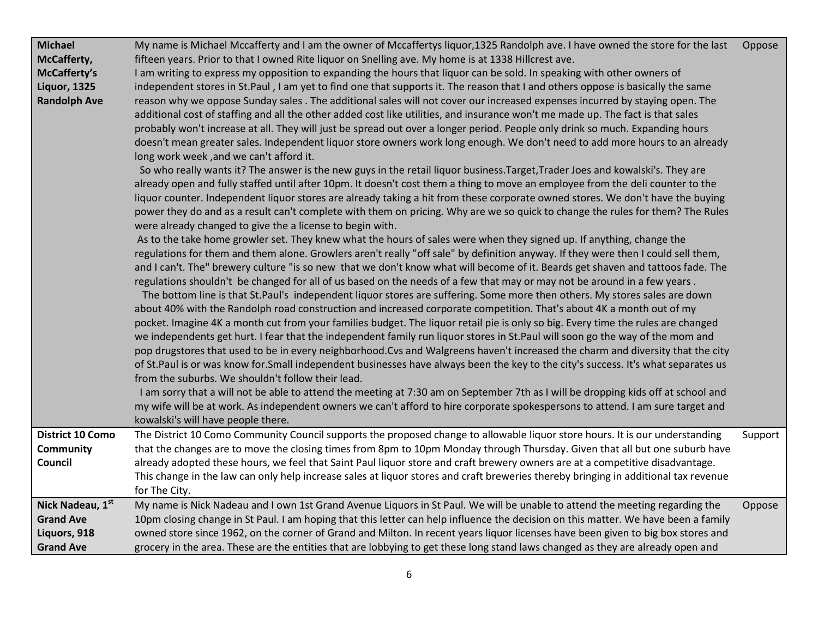| <b>Michael</b><br>McCafferty,<br>McCafferty's<br><b>Liquor, 1325</b><br><b>Randolph Ave</b><br>District 10 Como<br><b>Community</b><br>Council | My name is Michael Mccafferty and I am the owner of Mccaffertys liquor, 1325 Randolph ave. I have owned the store for the last<br>fifteen years. Prior to that I owned Rite liquor on Snelling ave. My home is at 1338 Hillcrest ave.<br>I am writing to express my opposition to expanding the hours that liquor can be sold. In speaking with other owners of<br>independent stores in St.Paul, I am yet to find one that supports it. The reason that I and others oppose is basically the same<br>reason why we oppose Sunday sales. The additional sales will not cover our increased expenses incurred by staying open. The<br>additional cost of staffing and all the other added cost like utilities, and insurance won't me made up. The fact is that sales<br>probably won't increase at all. They will just be spread out over a longer period. People only drink so much. Expanding hours<br>doesn't mean greater sales. Independent liquor store owners work long enough. We don't need to add more hours to an already<br>long work week, and we can't afford it.<br>So who really wants it? The answer is the new guys in the retail liquor business. Target, Trader Joes and kowalski's. They are<br>already open and fully staffed until after 10pm. It doesn't cost them a thing to move an employee from the deli counter to the<br>liquor counter. Independent liquor stores are already taking a hit from these corporate owned stores. We don't have the buying<br>power they do and as a result can't complete with them on pricing. Why are we so quick to change the rules for them? The Rules<br>were already changed to give the a license to begin with.<br>As to the take home growler set. They knew what the hours of sales were when they signed up. If anything, change the<br>regulations for them and them alone. Growlers aren't really "off sale" by definition anyway. If they were then I could sell them,<br>and I can't. The" brewery culture "is so new that we don't know what will become of it. Beards get shaven and tattoos fade. The<br>regulations shouldn't be changed for all of us based on the needs of a few that may or may not be around in a few years.<br>The bottom line is that St.Paul's independent liquor stores are suffering. Some more then others. My stores sales are down<br>about 40% with the Randolph road construction and increased corporate competition. That's about 4K a month out of my<br>pocket. Imagine 4K a month cut from your families budget. The liquor retail pie is only so big. Every time the rules are changed<br>we independents get hurt. I fear that the independent family run liquor stores in St.Paul will soon go the way of the mom and<br>pop drugstores that used to be in every neighborhood.Cvs and Walgreens haven't increased the charm and diversity that the city<br>of St.Paul is or was know for.Small independent businesses have always been the key to the city's success. It's what separates us<br>from the suburbs. We shouldn't follow their lead.<br>I am sorry that a will not be able to attend the meeting at 7:30 am on September 7th as I will be dropping kids off at school and<br>my wife will be at work. As independent owners we can't afford to hire corporate spokespersons to attend. I am sure target and<br>kowalski's will have people there.<br>The District 10 Como Community Council supports the proposed change to allowable liquor store hours. It is our understanding<br>that the changes are to move the closing times from 8pm to 10pm Monday through Thursday. Given that all but one suburb have<br>already adopted these hours, we feel that Saint Paul liquor store and craft brewery owners are at a competitive disadvantage. | Oppose<br>Support |
|------------------------------------------------------------------------------------------------------------------------------------------------|--------------------------------------------------------------------------------------------------------------------------------------------------------------------------------------------------------------------------------------------------------------------------------------------------------------------------------------------------------------------------------------------------------------------------------------------------------------------------------------------------------------------------------------------------------------------------------------------------------------------------------------------------------------------------------------------------------------------------------------------------------------------------------------------------------------------------------------------------------------------------------------------------------------------------------------------------------------------------------------------------------------------------------------------------------------------------------------------------------------------------------------------------------------------------------------------------------------------------------------------------------------------------------------------------------------------------------------------------------------------------------------------------------------------------------------------------------------------------------------------------------------------------------------------------------------------------------------------------------------------------------------------------------------------------------------------------------------------------------------------------------------------------------------------------------------------------------------------------------------------------------------------------------------------------------------------------------------------------------------------------------------------------------------------------------------------------------------------------------------------------------------------------------------------------------------------------------------------------------------------------------------------------------------------------------------------------------------------------------------------------------------------------------------------------------------------------------------------------------------------------------------------------------------------------------------------------------------------------------------------------------------------------------------------------------------------------------------------------------------------------------------------------------------------------------------------------------------------------------------------------------------------------------------------------------------------------------------------------------------------------------------------------------------------------------------------------------------------------------------------------------------------------------------------------------------------------------------------------------------------------------------------------------------------------------------------------------------------------------------------------------------------------------------------------------------------------------------------------------------------------------------------------------------------------------------------------------------------------------------------------------------------------------------------------------------------------------------------------------------------------------------------------------------|-------------------|
|                                                                                                                                                | This change in the law can only help increase sales at liquor stores and craft breweries thereby bringing in additional tax revenue<br>for The City.                                                                                                                                                                                                                                                                                                                                                                                                                                                                                                                                                                                                                                                                                                                                                                                                                                                                                                                                                                                                                                                                                                                                                                                                                                                                                                                                                                                                                                                                                                                                                                                                                                                                                                                                                                                                                                                                                                                                                                                                                                                                                                                                                                                                                                                                                                                                                                                                                                                                                                                                                                                                                                                                                                                                                                                                                                                                                                                                                                                                                                                                                                                                                                                                                                                                                                                                                                                                                                                                                                                                                                                                                                 |                   |
| Nick Nadeau, 1st<br><b>Grand Ave</b><br>Liquors, 918<br><b>Grand Ave</b>                                                                       | My name is Nick Nadeau and I own 1st Grand Avenue Liquors in St Paul. We will be unable to attend the meeting regarding the<br>10pm closing change in St Paul. I am hoping that this letter can help influence the decision on this matter. We have been a family<br>owned store since 1962, on the corner of Grand and Milton. In recent years liquor licenses have been given to big box stores and<br>grocery in the area. These are the entities that are lobbying to get these long stand laws changed as they are already open and                                                                                                                                                                                                                                                                                                                                                                                                                                                                                                                                                                                                                                                                                                                                                                                                                                                                                                                                                                                                                                                                                                                                                                                                                                                                                                                                                                                                                                                                                                                                                                                                                                                                                                                                                                                                                                                                                                                                                                                                                                                                                                                                                                                                                                                                                                                                                                                                                                                                                                                                                                                                                                                                                                                                                                                                                                                                                                                                                                                                                                                                                                                                                                                                                                             | Oppose            |